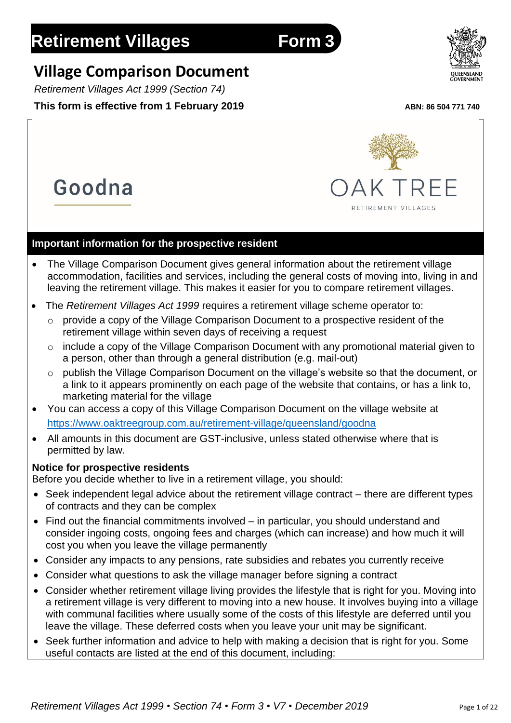Goodna

# **Village Comparison Document**

*Retirement Villages Act 1999 (Section 74)*

# **This form is effective from 1 February 2019** *ABN: 86 504 771 740*

**Important information for the prospective resident** • The Village Comparison Document gives general information about the retirement village accommodation, facilities and services, including the general costs of moving into, living in and leaving the retirement village. This makes it easier for you to compare retirement villages.

# • The *Retirement Villages Act 1999* requires a retirement village scheme operator to:

- $\circ$  provide a copy of the Village Comparison Document to a prospective resident of the retirement village within seven days of receiving a request
- o include a copy of the Village Comparison Document with any promotional material given to a person, other than through a general distribution (e.g. mail-out)
- o publish the Village Comparison Document on the village's website so that the document, or a link to it appears prominently on each page of the website that contains, or has a link to, marketing material for the village
- You can access a copy of this Village Comparison Document on the village website at <https://www.oaktreegroup.com.au/retirement-village/queensland/goodna>
- All amounts in this document are GST-inclusive, unless stated otherwise where that is permitted by law.

### **Notice for prospective residents**

Before you decide whether to live in a retirement village, you should:

- Seek independent legal advice about the retirement village contract there are different types of contracts and they can be complex
- Find out the financial commitments involved in particular, you should understand and consider ingoing costs, ongoing fees and charges (which can increase) and how much it will cost you when you leave the village permanently
- Consider any impacts to any pensions, rate subsidies and rebates you currently receive
- Consider what questions to ask the village manager before signing a contract
- Consider whether retirement village living provides the lifestyle that is right for you. Moving into a retirement village is very different to moving into a new house. It involves buying into a village with communal facilities where usually some of the costs of this lifestyle are deferred until you leave the village. These deferred costs when you leave your unit may be significant.
- Seek further information and advice to help with making a decision that is right for you. Some useful contacts are listed at the end of this document, including:



RETIREMENT VILLAGES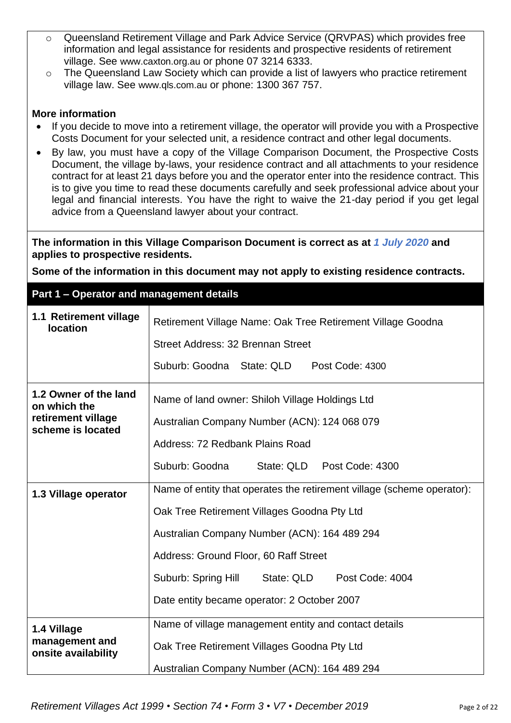- o Queensland Retirement Village and Park Advice Service (QRVPAS) which provides free information and legal assistance for residents and prospective residents of retirement village. See [www.caxton.org.au](http://www.caxton.org.au/) or phone 07 3214 6333.
- o The Queensland Law Society which can provide a list of lawyers who practice retirement village law. See [www.qls.com.au](http://www.qls.com.au/) or phone: 1300 367 757.

#### **More information**

- If you decide to move into a retirement village, the operator will provide you with a Prospective Costs Document for your selected unit, a residence contract and other legal documents.
- By law, you must have a copy of the Village Comparison Document, the Prospective Costs Document, the village by-laws, your residence contract and all attachments to your residence contract for at least 21 days before you and the operator enter into the residence contract. This is to give you time to read these documents carefully and seek professional advice about your legal and financial interests. You have the right to waive the 21-day period if you get legal advice from a Queensland lawyer about your contract.

**The information in this Village Comparison Document is correct as at** *1 July 2020* **and applies to prospective residents.**

**Some of the information in this document may not apply to existing residence contracts.**

#### **Part 1 – Operator and management details**

| 1.1 Retirement village<br><b>location</b>                                        | Retirement Village Name: Oak Tree Retirement Village Goodna<br>Street Address: 32 Brennan Street                                                                                                                                                                                                                      |  |  |  |  |
|----------------------------------------------------------------------------------|-----------------------------------------------------------------------------------------------------------------------------------------------------------------------------------------------------------------------------------------------------------------------------------------------------------------------|--|--|--|--|
|                                                                                  | Suburb: Goodna State: QLD<br>Post Code: 4300                                                                                                                                                                                                                                                                          |  |  |  |  |
| 1.2 Owner of the land<br>on which the<br>retirement village<br>scheme is located | Name of land owner: Shiloh Village Holdings Ltd<br>Australian Company Number (ACN): 124 068 079<br>Address: 72 Redbank Plains Road<br>Suburb: Goodna<br>State: QLD Post Code: 4300                                                                                                                                    |  |  |  |  |
| 1.3 Village operator                                                             | Name of entity that operates the retirement village (scheme operator):<br>Oak Tree Retirement Villages Goodna Pty Ltd<br>Australian Company Number (ACN): 164 489 294<br>Address: Ground Floor, 60 Raff Street<br>Suburb: Spring Hill<br>State: QLD<br>Post Code: 4004<br>Date entity became operator: 2 October 2007 |  |  |  |  |
| 1.4 Village<br>management and<br>onsite availability                             | Name of village management entity and contact details<br>Oak Tree Retirement Villages Goodna Pty Ltd<br>Australian Company Number (ACN): 164 489 294                                                                                                                                                                  |  |  |  |  |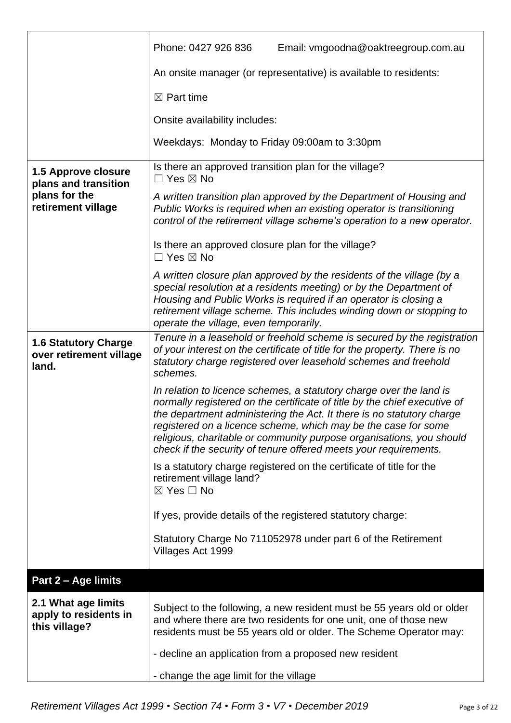|                                                                 | Email: vmgoodna@oaktreegroup.com.au<br>Phone: 0427 926 836                                                                                                                                                                                                                                                                                                                                                                              |
|-----------------------------------------------------------------|-----------------------------------------------------------------------------------------------------------------------------------------------------------------------------------------------------------------------------------------------------------------------------------------------------------------------------------------------------------------------------------------------------------------------------------------|
|                                                                 | An onsite manager (or representative) is available to residents:                                                                                                                                                                                                                                                                                                                                                                        |
|                                                                 | $\boxtimes$ Part time                                                                                                                                                                                                                                                                                                                                                                                                                   |
|                                                                 | Onsite availability includes:                                                                                                                                                                                                                                                                                                                                                                                                           |
|                                                                 | Weekdays: Monday to Friday 09:00am to 3:30pm                                                                                                                                                                                                                                                                                                                                                                                            |
| <b>1.5 Approve closure</b><br>plans and transition              | Is there an approved transition plan for the village?<br>$\Box$ Yes $\boxtimes$ No                                                                                                                                                                                                                                                                                                                                                      |
| plans for the<br>retirement village                             | A written transition plan approved by the Department of Housing and<br>Public Works is required when an existing operator is transitioning<br>control of the retirement village scheme's operation to a new operator.                                                                                                                                                                                                                   |
|                                                                 | Is there an approved closure plan for the village?<br>$\Box$ Yes $\boxtimes$ No                                                                                                                                                                                                                                                                                                                                                         |
|                                                                 | A written closure plan approved by the residents of the village (by a<br>special resolution at a residents meeting) or by the Department of<br>Housing and Public Works is required if an operator is closing a<br>retirement village scheme. This includes winding down or stopping to<br>operate the village, even temporarily.                                                                                                       |
| <b>1.6 Statutory Charge</b><br>over retirement village<br>land. | Tenure in a leasehold or freehold scheme is secured by the registration<br>of your interest on the certificate of title for the property. There is no<br>statutory charge registered over leasehold schemes and freehold<br>schemes.                                                                                                                                                                                                    |
|                                                                 | In relation to licence schemes, a statutory charge over the land is<br>normally registered on the certificate of title by the chief executive of<br>the department administering the Act. It there is no statutory charge<br>registered on a licence scheme, which may be the case for some<br>religious, charitable or community purpose organisations, you should<br>check if the security of tenure offered meets your requirements. |
|                                                                 | Is a statutory charge registered on the certificate of title for the<br>retirement village land?<br>$\boxtimes$ Yes $\Box$ No                                                                                                                                                                                                                                                                                                           |
|                                                                 | If yes, provide details of the registered statutory charge:                                                                                                                                                                                                                                                                                                                                                                             |
|                                                                 | Statutory Charge No 711052978 under part 6 of the Retirement<br>Villages Act 1999                                                                                                                                                                                                                                                                                                                                                       |
| Part 2 - Age limits                                             |                                                                                                                                                                                                                                                                                                                                                                                                                                         |
| 2.1 What age limits<br>apply to residents in<br>this village?   | Subject to the following, a new resident must be 55 years old or older<br>and where there are two residents for one unit, one of those new<br>residents must be 55 years old or older. The Scheme Operator may:                                                                                                                                                                                                                         |
|                                                                 | - decline an application from a proposed new resident<br>- change the age limit for the village                                                                                                                                                                                                                                                                                                                                         |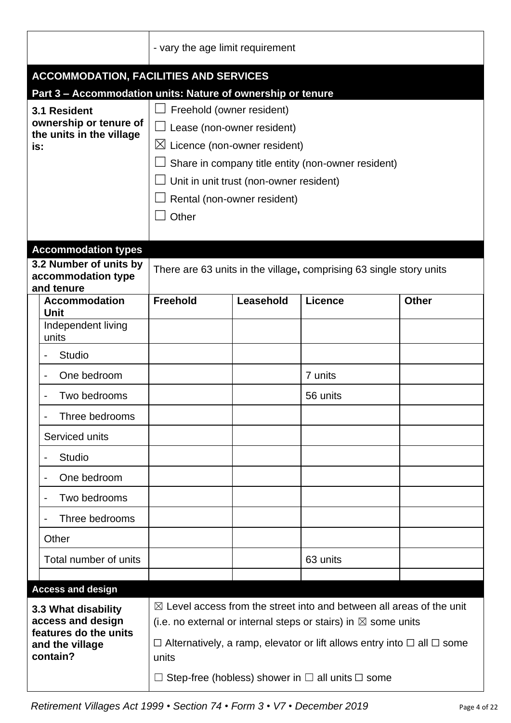|                                                                                                                              | - vary the age limit requirement                                                                                                                                                                                                                                                                            |           |                                                                                                                                                                                                                                                                                                                      |              |
|------------------------------------------------------------------------------------------------------------------------------|-------------------------------------------------------------------------------------------------------------------------------------------------------------------------------------------------------------------------------------------------------------------------------------------------------------|-----------|----------------------------------------------------------------------------------------------------------------------------------------------------------------------------------------------------------------------------------------------------------------------------------------------------------------------|--------------|
| <b>ACCOMMODATION, FACILITIES AND SERVICES</b>                                                                                |                                                                                                                                                                                                                                                                                                             |           |                                                                                                                                                                                                                                                                                                                      |              |
| 3.1 Resident<br>ownership or tenure of<br>the units in the village<br>is:                                                    | Part 3 - Accommodation units: Nature of ownership or tenure<br>Freehold (owner resident)<br>Lease (non-owner resident)<br>$\boxtimes$ Licence (non-owner resident)<br>Share in company title entity (non-owner resident)<br>Unit in unit trust (non-owner resident)<br>Rental (non-owner resident)<br>Other |           |                                                                                                                                                                                                                                                                                                                      |              |
| <b>Accommodation types</b>                                                                                                   |                                                                                                                                                                                                                                                                                                             |           |                                                                                                                                                                                                                                                                                                                      |              |
| 3.2 Number of units by<br>accommodation type<br>and tenure                                                                   |                                                                                                                                                                                                                                                                                                             |           | There are 63 units in the village, comprising 63 single story units                                                                                                                                                                                                                                                  |              |
| <b>Accommodation</b><br><b>Unit</b>                                                                                          | <b>Freehold</b>                                                                                                                                                                                                                                                                                             | Leasehold | <b>Licence</b>                                                                                                                                                                                                                                                                                                       | <b>Other</b> |
| Independent living<br>units                                                                                                  |                                                                                                                                                                                                                                                                                                             |           |                                                                                                                                                                                                                                                                                                                      |              |
| Studio                                                                                                                       |                                                                                                                                                                                                                                                                                                             |           |                                                                                                                                                                                                                                                                                                                      |              |
| One bedroom                                                                                                                  |                                                                                                                                                                                                                                                                                                             |           | 7 units                                                                                                                                                                                                                                                                                                              |              |
| Two bedrooms                                                                                                                 |                                                                                                                                                                                                                                                                                                             |           | 56 units                                                                                                                                                                                                                                                                                                             |              |
| Three bedrooms<br>$\blacksquare$                                                                                             |                                                                                                                                                                                                                                                                                                             |           |                                                                                                                                                                                                                                                                                                                      |              |
| Serviced units                                                                                                               |                                                                                                                                                                                                                                                                                                             |           |                                                                                                                                                                                                                                                                                                                      |              |
| <b>Studio</b>                                                                                                                |                                                                                                                                                                                                                                                                                                             |           |                                                                                                                                                                                                                                                                                                                      |              |
| One bedroom<br>$\blacksquare$                                                                                                |                                                                                                                                                                                                                                                                                                             |           |                                                                                                                                                                                                                                                                                                                      |              |
| Two bedrooms                                                                                                                 |                                                                                                                                                                                                                                                                                                             |           |                                                                                                                                                                                                                                                                                                                      |              |
| Three bedrooms                                                                                                               |                                                                                                                                                                                                                                                                                                             |           |                                                                                                                                                                                                                                                                                                                      |              |
| Other                                                                                                                        |                                                                                                                                                                                                                                                                                                             |           |                                                                                                                                                                                                                                                                                                                      |              |
| Total number of units                                                                                                        |                                                                                                                                                                                                                                                                                                             |           | 63 units                                                                                                                                                                                                                                                                                                             |              |
|                                                                                                                              |                                                                                                                                                                                                                                                                                                             |           |                                                                                                                                                                                                                                                                                                                      |              |
| <b>Access and design</b><br>3.3 What disability<br>access and design<br>features do the units<br>and the village<br>contain? | units                                                                                                                                                                                                                                                                                                       |           | $\boxtimes$ Level access from the street into and between all areas of the unit<br>(i.e. no external or internal steps or stairs) in $\boxtimes$ some units<br>$\Box$ Alternatively, a ramp, elevator or lift allows entry into $\Box$ all $\Box$ some<br>Step-free (hobless) shower in $\Box$ all units $\Box$ some |              |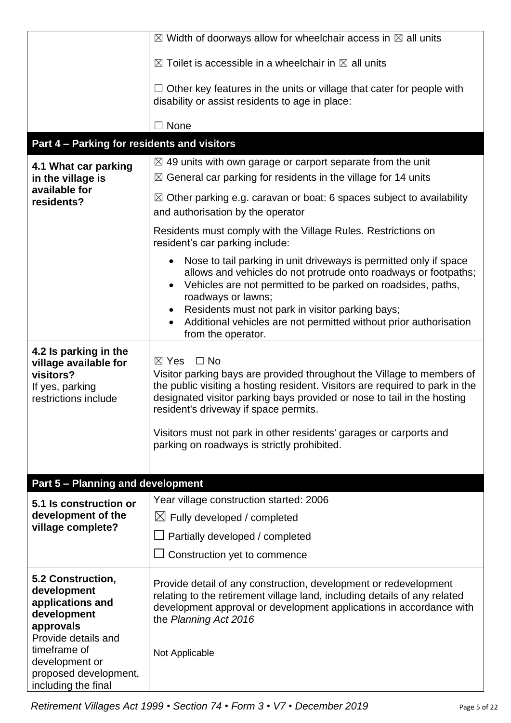|                                                                                                                         | $\boxtimes$ Width of doorways allow for wheelchair access in $\boxtimes$ all units                                                                                                                                                                                                                                                                                                                                              |  |  |  |
|-------------------------------------------------------------------------------------------------------------------------|---------------------------------------------------------------------------------------------------------------------------------------------------------------------------------------------------------------------------------------------------------------------------------------------------------------------------------------------------------------------------------------------------------------------------------|--|--|--|
|                                                                                                                         | $\boxtimes$ Toilet is accessible in a wheelchair in $\boxtimes$ all units                                                                                                                                                                                                                                                                                                                                                       |  |  |  |
|                                                                                                                         | $\Box$ Other key features in the units or village that cater for people with<br>disability or assist residents to age in place:                                                                                                                                                                                                                                                                                                 |  |  |  |
|                                                                                                                         | $\Box$ None                                                                                                                                                                                                                                                                                                                                                                                                                     |  |  |  |
| Part 4 - Parking for residents and visitors                                                                             |                                                                                                                                                                                                                                                                                                                                                                                                                                 |  |  |  |
| 4.1 What car parking                                                                                                    | $\boxtimes$ 49 units with own garage or carport separate from the unit                                                                                                                                                                                                                                                                                                                                                          |  |  |  |
| in the village is                                                                                                       | $\boxtimes$ General car parking for residents in the village for 14 units                                                                                                                                                                                                                                                                                                                                                       |  |  |  |
| available for<br>residents?                                                                                             | $\boxtimes$ Other parking e.g. caravan or boat: 6 spaces subject to availability<br>and authorisation by the operator                                                                                                                                                                                                                                                                                                           |  |  |  |
|                                                                                                                         | Residents must comply with the Village Rules. Restrictions on<br>resident's car parking include:                                                                                                                                                                                                                                                                                                                                |  |  |  |
|                                                                                                                         | Nose to tail parking in unit driveways is permitted only if space<br>$\bullet$<br>allows and vehicles do not protrude onto roadways or footpaths;<br>Vehicles are not permitted to be parked on roadsides, paths,<br>$\bullet$<br>roadways or lawns;<br>Residents must not park in visitor parking bays;<br>Additional vehicles are not permitted without prior authorisation<br>$\bullet$<br>from the operator.                |  |  |  |
| 4.2 Is parking in the<br>village available for<br>visitors?<br>If yes, parking<br>restrictions include                  | $\boxtimes$ Yes<br>$\Box$ No<br>Visitor parking bays are provided throughout the Village to members of<br>the public visiting a hosting resident. Visitors are required to park in the<br>designated visitor parking bays provided or nose to tail in the hosting<br>resident's driveway if space permits.<br>Visitors must not park in other residents' garages or carports and<br>parking on roadways is strictly prohibited. |  |  |  |
|                                                                                                                         |                                                                                                                                                                                                                                                                                                                                                                                                                                 |  |  |  |
| <b>Part 5 - Planning and development</b>                                                                                | Year village construction started: 2006                                                                                                                                                                                                                                                                                                                                                                                         |  |  |  |
| 5.1 Is construction or<br>development of the                                                                            | $\boxtimes$ Fully developed / completed                                                                                                                                                                                                                                                                                                                                                                                         |  |  |  |
| village complete?                                                                                                       | $\Box$ Partially developed / completed                                                                                                                                                                                                                                                                                                                                                                                          |  |  |  |
|                                                                                                                         | Construction yet to commence                                                                                                                                                                                                                                                                                                                                                                                                    |  |  |  |
| 5.2 Construction,<br>development<br>applications and<br>development<br>approvals<br>Provide details and<br>timeframe of | Provide detail of any construction, development or redevelopment<br>relating to the retirement village land, including details of any related<br>development approval or development applications in accordance with<br>the Planning Act 2016                                                                                                                                                                                   |  |  |  |
| development or<br>proposed development,<br>including the final                                                          | Not Applicable                                                                                                                                                                                                                                                                                                                                                                                                                  |  |  |  |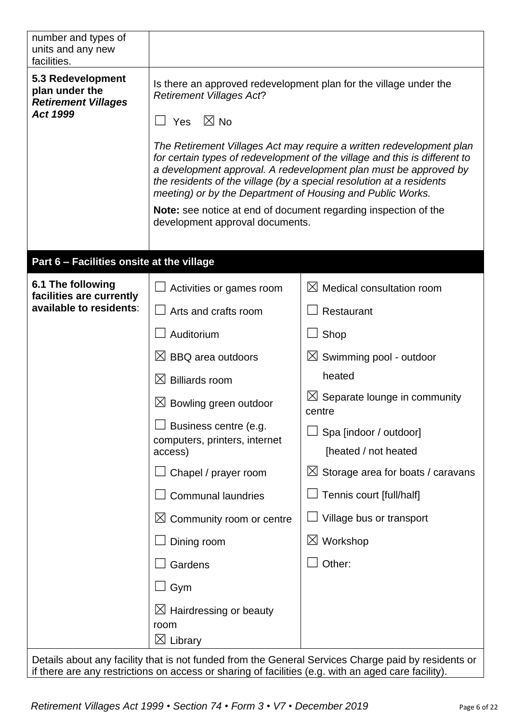| number and types of<br>units and any new<br>facilities.                              |                                                                                                                                                                                                                                                                                                                                                                                                                                                                                                                                                                                                  |                                                                                                     |  |  |  |
|--------------------------------------------------------------------------------------|--------------------------------------------------------------------------------------------------------------------------------------------------------------------------------------------------------------------------------------------------------------------------------------------------------------------------------------------------------------------------------------------------------------------------------------------------------------------------------------------------------------------------------------------------------------------------------------------------|-----------------------------------------------------------------------------------------------------|--|--|--|
| 5.3 Redevelopment<br>plan under the<br><b>Retirement Villages</b><br><b>Act 1999</b> | Is there an approved redevelopment plan for the village under the<br><b>Retirement Villages Act?</b><br>Yes $\boxtimes$ No<br>The Retirement Villages Act may require a written redevelopment plan<br>for certain types of redevelopment of the village and this is different to<br>a development approval. A redevelopment plan must be approved by<br>the residents of the village (by a special resolution at a residents<br>meeting) or by the Department of Housing and Public Works.<br>Note: see notice at end of document regarding inspection of the<br>development approval documents. |                                                                                                     |  |  |  |
| Part 6 - Facilities onsite at the village                                            |                                                                                                                                                                                                                                                                                                                                                                                                                                                                                                                                                                                                  |                                                                                                     |  |  |  |
| 6.1 The following<br>facilities are currently                                        | Activities or games room                                                                                                                                                                                                                                                                                                                                                                                                                                                                                                                                                                         | $\boxtimes$ Medical consultation room                                                               |  |  |  |
| available to residents:                                                              | Arts and crafts room                                                                                                                                                                                                                                                                                                                                                                                                                                                                                                                                                                             | Restaurant                                                                                          |  |  |  |
|                                                                                      | Auditorium                                                                                                                                                                                                                                                                                                                                                                                                                                                                                                                                                                                       | Shop                                                                                                |  |  |  |
|                                                                                      | $\boxtimes$ BBQ area outdoors                                                                                                                                                                                                                                                                                                                                                                                                                                                                                                                                                                    | $\boxtimes$ Swimming pool - outdoor                                                                 |  |  |  |
|                                                                                      | <b>Billiards room</b><br>$\bowtie$                                                                                                                                                                                                                                                                                                                                                                                                                                                                                                                                                               | heated                                                                                              |  |  |  |
|                                                                                      | $\boxtimes$ Bowling green outdoor                                                                                                                                                                                                                                                                                                                                                                                                                                                                                                                                                                | $\boxtimes$ Separate lounge in community<br>centre                                                  |  |  |  |
|                                                                                      | Business centre (e.g.<br>computers, printers, internet<br>access)                                                                                                                                                                                                                                                                                                                                                                                                                                                                                                                                | Spa [indoor / outdoor]<br>[heated / not heated                                                      |  |  |  |
|                                                                                      | Chapel / prayer room                                                                                                                                                                                                                                                                                                                                                                                                                                                                                                                                                                             | $\boxtimes$ Storage area for boats / caravans                                                       |  |  |  |
|                                                                                      | <b>Communal laundries</b>                                                                                                                                                                                                                                                                                                                                                                                                                                                                                                                                                                        | Tennis court [full/half]                                                                            |  |  |  |
|                                                                                      | $\boxtimes$ Community room or centre                                                                                                                                                                                                                                                                                                                                                                                                                                                                                                                                                             | Village bus or transport                                                                            |  |  |  |
|                                                                                      | Dining room                                                                                                                                                                                                                                                                                                                                                                                                                                                                                                                                                                                      | $\boxtimes$ Workshop                                                                                |  |  |  |
|                                                                                      | Gardens                                                                                                                                                                                                                                                                                                                                                                                                                                                                                                                                                                                          | Other:                                                                                              |  |  |  |
|                                                                                      | Gym                                                                                                                                                                                                                                                                                                                                                                                                                                                                                                                                                                                              |                                                                                                     |  |  |  |
|                                                                                      | $\boxtimes$ Hairdressing or beauty<br>room<br>$\boxtimes$ Library                                                                                                                                                                                                                                                                                                                                                                                                                                                                                                                                |                                                                                                     |  |  |  |
|                                                                                      |                                                                                                                                                                                                                                                                                                                                                                                                                                                                                                                                                                                                  | Details about any facility that is not funded from the General Services Charge paid by residents or |  |  |  |

ls about any facility that is not funded from the General Services Charge paid by residents or if there are any restrictions on access or sharing of facilities (e.g. with an aged care facility).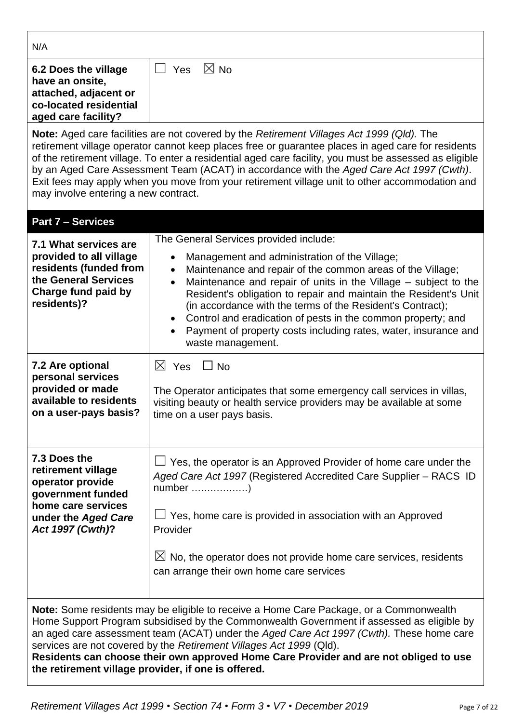| N/A                                                                                                                                                                                                                                                                                                                                                                                                                                                                                                    |                                                                                                                                                                                                                                                                                                                                                                                                                                                                                                                 |  |  |  |
|--------------------------------------------------------------------------------------------------------------------------------------------------------------------------------------------------------------------------------------------------------------------------------------------------------------------------------------------------------------------------------------------------------------------------------------------------------------------------------------------------------|-----------------------------------------------------------------------------------------------------------------------------------------------------------------------------------------------------------------------------------------------------------------------------------------------------------------------------------------------------------------------------------------------------------------------------------------------------------------------------------------------------------------|--|--|--|
| 6.2 Does the village<br>have an onsite,<br>attached, adjacent or<br>co-located residential<br>aged care facility?                                                                                                                                                                                                                                                                                                                                                                                      | $\boxtimes$ No<br>Yes<br>$\vert \ \ \vert$                                                                                                                                                                                                                                                                                                                                                                                                                                                                      |  |  |  |
| may involve entering a new contract.                                                                                                                                                                                                                                                                                                                                                                                                                                                                   | <b>Note:</b> Aged care facilities are not covered by the Retirement Villages Act 1999 (Qld). The<br>retirement village operator cannot keep places free or guarantee places in aged care for residents<br>of the retirement village. To enter a residential aged care facility, you must be assessed as eligible<br>by an Aged Care Assessment Team (ACAT) in accordance with the Aged Care Act 1997 (Cwth).<br>Exit fees may apply when you move from your retirement village unit to other accommodation and  |  |  |  |
| <b>Part 7 - Services</b>                                                                                                                                                                                                                                                                                                                                                                                                                                                                               |                                                                                                                                                                                                                                                                                                                                                                                                                                                                                                                 |  |  |  |
| 7.1 What services are                                                                                                                                                                                                                                                                                                                                                                                                                                                                                  | The General Services provided include:                                                                                                                                                                                                                                                                                                                                                                                                                                                                          |  |  |  |
| provided to all village<br>residents (funded from<br>the General Services<br>Charge fund paid by<br>residents)?                                                                                                                                                                                                                                                                                                                                                                                        | Management and administration of the Village;<br>$\bullet$<br>Maintenance and repair of the common areas of the Village;<br>$\bullet$<br>Maintenance and repair of units in the Village - subject to the<br>Resident's obligation to repair and maintain the Resident's Unit<br>(in accordance with the terms of the Resident's Contract);<br>Control and eradication of pests in the common property; and<br>$\bullet$<br>Payment of property costs including rates, water, insurance and<br>waste management. |  |  |  |
| 7.2 Are optional                                                                                                                                                                                                                                                                                                                                                                                                                                                                                       | $\boxtimes$ Yes $\Box$ No                                                                                                                                                                                                                                                                                                                                                                                                                                                                                       |  |  |  |
| personal services<br>provided or made<br>available to residents<br>on a user-pays basis?                                                                                                                                                                                                                                                                                                                                                                                                               | The Operator anticipates that some emergency call services in villas,<br>visiting beauty or health service providers may be available at some<br>time on a user pays basis.                                                                                                                                                                                                                                                                                                                                     |  |  |  |
| 7.3 Does the<br>retirement village<br>operator provide<br>government funded<br>home care services                                                                                                                                                                                                                                                                                                                                                                                                      | Yes, the operator is an Approved Provider of home care under the<br>Aged Care Act 1997 (Registered Accredited Care Supplier – RACS ID<br>number )                                                                                                                                                                                                                                                                                                                                                               |  |  |  |
| under the Aged Care<br>Act 1997 (Cwth)?                                                                                                                                                                                                                                                                                                                                                                                                                                                                | Yes, home care is provided in association with an Approved<br>Provider                                                                                                                                                                                                                                                                                                                                                                                                                                          |  |  |  |
|                                                                                                                                                                                                                                                                                                                                                                                                                                                                                                        | $\boxtimes$ No, the operator does not provide home care services, residents<br>can arrange their own home care services                                                                                                                                                                                                                                                                                                                                                                                         |  |  |  |
| Note: Some residents may be eligible to receive a Home Care Package, or a Commonwealth<br>Home Support Program subsidised by the Commonwealth Government if assessed as eligible by<br>an aged care assessment team (ACAT) under the Aged Care Act 1997 (Cwth). These home care<br>services are not covered by the Retirement Villages Act 1999 (Qld).<br>Residents can choose their own approved Home Care Provider and are not obliged to use<br>the retirement village provider, if one is offered. |                                                                                                                                                                                                                                                                                                                                                                                                                                                                                                                 |  |  |  |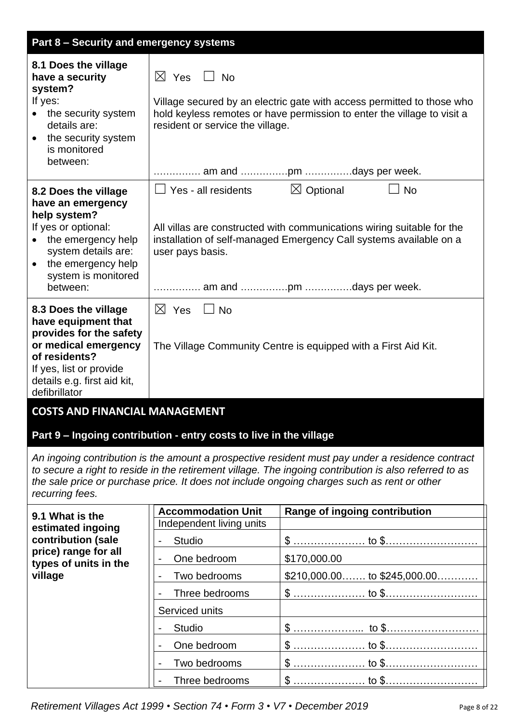| Part 8 - Security and emergency systems                                                                                                                                                                                                                                                                                      |                                                                    |                                                                                                                                                                                   |  |  |
|------------------------------------------------------------------------------------------------------------------------------------------------------------------------------------------------------------------------------------------------------------------------------------------------------------------------------|--------------------------------------------------------------------|-----------------------------------------------------------------------------------------------------------------------------------------------------------------------------------|--|--|
| 8.1 Does the village<br>have a security<br>system?<br>If yes:<br>the security system<br>$\bullet$<br>details are:<br>the security system<br>$\bullet$<br>is monitored<br>between:                                                                                                                                            | $\boxtimes$ Yes<br>$\Box$ No<br>resident or service the village.   | Village secured by an electric gate with access permitted to those who<br>hold keyless remotes or have permission to enter the village to visit a<br>am and pm days per week.     |  |  |
| 8.2 Does the village<br>have an emergency<br>help system?<br>If yes or optional:<br>the emergency help<br>$\bullet$<br>system details are:<br>the emergency help<br>$\bullet$<br>system is monitored<br>between:                                                                                                             | Yes - all residents<br>user pays basis.                            | $\boxtimes$ Optional<br><b>No</b><br>All villas are constructed with communications wiring suitable for the<br>installation of self-managed Emergency Call systems available on a |  |  |
| 8.3 Does the village<br>have equipment that<br>provides for the safety<br>or medical emergency<br>of residents?<br>If yes, list or provide<br>details e.g. first aid kit,<br>defibrillator                                                                                                                                   | $\boxtimes$ Yes<br>$\Box$ No                                       | The Village Community Centre is equipped with a First Aid Kit.                                                                                                                    |  |  |
| <b>COSTS AND FINANCIAL MANAGEMENT</b>                                                                                                                                                                                                                                                                                        | Part 9 - Ingoing contribution - entry costs to live in the village |                                                                                                                                                                                   |  |  |
| An ingoing contribution is the amount a prospective resident must pay under a residence contract<br>to secure a right to reside in the retirement village. The ingoing contribution is also referred to as<br>the sale price or purchase price. It does not include ongoing charges such as rent or other<br>recurring fees. |                                                                    |                                                                                                                                                                                   |  |  |
| 9.1 What is the                                                                                                                                                                                                                                                                                                              | <b>Accommodation Unit</b>                                          | Range of ingoing contribution                                                                                                                                                     |  |  |
| estimated ingoing<br>contribution (sale                                                                                                                                                                                                                                                                                      | Independent living units<br><b>Studio</b>                          |                                                                                                                                                                                   |  |  |
| price) range for all                                                                                                                                                                                                                                                                                                         | One bedroom                                                        | \$170,000.00                                                                                                                                                                      |  |  |
| types of units in the<br>village                                                                                                                                                                                                                                                                                             | Two bedrooms                                                       | $$210,000.00$ to $$245,000.00$                                                                                                                                                    |  |  |
|                                                                                                                                                                                                                                                                                                                              | Three bedrooms                                                     |                                                                                                                                                                                   |  |  |
|                                                                                                                                                                                                                                                                                                                              | Serviced units                                                     |                                                                                                                                                                                   |  |  |
|                                                                                                                                                                                                                                                                                                                              | <b>Studio</b>                                                      |                                                                                                                                                                                   |  |  |
|                                                                                                                                                                                                                                                                                                                              | One bedroom                                                        |                                                                                                                                                                                   |  |  |
|                                                                                                                                                                                                                                                                                                                              | Two bedrooms                                                       |                                                                                                                                                                                   |  |  |
|                                                                                                                                                                                                                                                                                                                              | Three bedrooms                                                     |                                                                                                                                                                                   |  |  |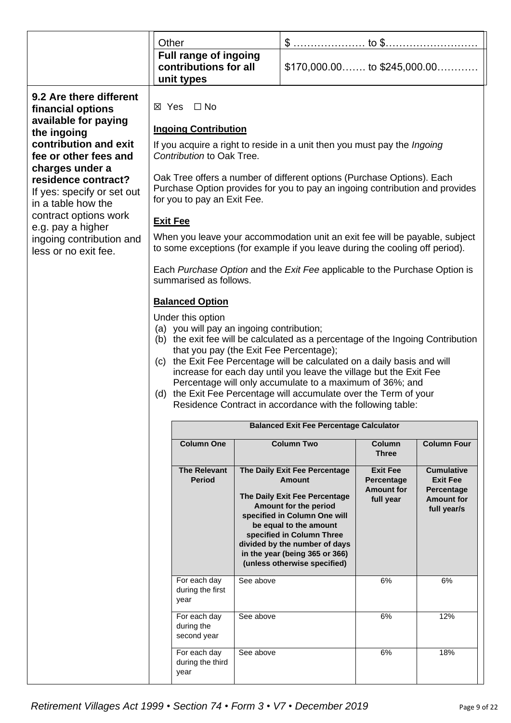|                                                                                            | Other                                                                                                                                                                                                                                                                                                                                                                                                                                                                                                                                         |                                                |                                                                                                                                                                                                                                                  |                                                    |                                                |
|--------------------------------------------------------------------------------------------|-----------------------------------------------------------------------------------------------------------------------------------------------------------------------------------------------------------------------------------------------------------------------------------------------------------------------------------------------------------------------------------------------------------------------------------------------------------------------------------------------------------------------------------------------|------------------------------------------------|--------------------------------------------------------------------------------------------------------------------------------------------------------------------------------------------------------------------------------------------------|----------------------------------------------------|------------------------------------------------|
|                                                                                            | unit types                                                                                                                                                                                                                                                                                                                                                                                                                                                                                                                                    | Full range of ingoing<br>contributions for all | $$170,000.00$ to $$245,000.00$                                                                                                                                                                                                                   |                                                    |                                                |
| 9.2 Are there different<br>financial options                                               | ⊠ Yes □ No                                                                                                                                                                                                                                                                                                                                                                                                                                                                                                                                    |                                                |                                                                                                                                                                                                                                                  |                                                    |                                                |
| available for paying<br>the ingoing                                                        | <b>Ingoing Contribution</b>                                                                                                                                                                                                                                                                                                                                                                                                                                                                                                                   |                                                |                                                                                                                                                                                                                                                  |                                                    |                                                |
| contribution and exit<br>fee or other fees and                                             | If you acquire a right to reside in a unit then you must pay the <i>Ingoing</i><br>Contribution to Oak Tree.                                                                                                                                                                                                                                                                                                                                                                                                                                  |                                                |                                                                                                                                                                                                                                                  |                                                    |                                                |
| charges under a<br>residence contract?<br>If yes: specify or set out<br>in a table how the |                                                                                                                                                                                                                                                                                                                                                                                                                                                                                                                                               | for you to pay an Exit Fee.                    | Oak Tree offers a number of different options (Purchase Options). Each<br>Purchase Option provides for you to pay an ingoing contribution and provides                                                                                           |                                                    |                                                |
| contract options work<br>e.g. pay a higher                                                 | <b>Exit Fee</b>                                                                                                                                                                                                                                                                                                                                                                                                                                                                                                                               |                                                |                                                                                                                                                                                                                                                  |                                                    |                                                |
| ingoing contribution and<br>less or no exit fee.                                           |                                                                                                                                                                                                                                                                                                                                                                                                                                                                                                                                               |                                                | When you leave your accommodation unit an exit fee will be payable, subject<br>to some exceptions (for example if you leave during the cooling off period).                                                                                      |                                                    |                                                |
|                                                                                            | summarised as follows.                                                                                                                                                                                                                                                                                                                                                                                                                                                                                                                        |                                                | Each Purchase Option and the Exit Fee applicable to the Purchase Option is                                                                                                                                                                       |                                                    |                                                |
|                                                                                            | <b>Balanced Option</b>                                                                                                                                                                                                                                                                                                                                                                                                                                                                                                                        |                                                |                                                                                                                                                                                                                                                  |                                                    |                                                |
|                                                                                            | Under this option<br>(a) you will pay an ingoing contribution;<br>(b) the exit fee will be calculated as a percentage of the Ingoing Contribution<br>that you pay (the Exit Fee Percentage);<br>(c) the Exit Fee Percentage will be calculated on a daily basis and will<br>increase for each day until you leave the village but the Exit Fee<br>Percentage will only accumulate to a maximum of 36%; and<br>(d) the Exit Fee Percentage will accumulate over the Term of your<br>Residence Contract in accordance with the following table: |                                                |                                                                                                                                                                                                                                                  |                                                    |                                                |
|                                                                                            |                                                                                                                                                                                                                                                                                                                                                                                                                                                                                                                                               |                                                | <b>Balanced Exit Fee Percentage Calculator</b>                                                                                                                                                                                                   |                                                    |                                                |
|                                                                                            | <b>Column One</b>                                                                                                                                                                                                                                                                                                                                                                                                                                                                                                                             |                                                | <b>Column Two</b>                                                                                                                                                                                                                                | Column<br><b>Three</b>                             | <b>Column Four</b>                             |
|                                                                                            | <b>The Relevant</b><br><b>Period</b>                                                                                                                                                                                                                                                                                                                                                                                                                                                                                                          |                                                | The Daily Exit Fee Percentage<br>Amount                                                                                                                                                                                                          | <b>Exit Fee</b><br>Percentage<br><b>Amount for</b> | <b>Cumulative</b><br><b>Exit Fee</b>           |
|                                                                                            |                                                                                                                                                                                                                                                                                                                                                                                                                                                                                                                                               |                                                | The Daily Exit Fee Percentage<br>Amount for the period<br>specified in Column One will<br>be equal to the amount<br>specified in Column Three<br>divided by the number of days<br>in the year (being 365 or 366)<br>(unless otherwise specified) | full year                                          | Percentage<br><b>Amount for</b><br>full year/s |
|                                                                                            | For each day<br>during the first<br>year                                                                                                                                                                                                                                                                                                                                                                                                                                                                                                      | See above                                      |                                                                                                                                                                                                                                                  | 6%                                                 | 6%                                             |
|                                                                                            | For each day<br>during the<br>second year                                                                                                                                                                                                                                                                                                                                                                                                                                                                                                     | See above                                      |                                                                                                                                                                                                                                                  | 6%                                                 | 12%                                            |
|                                                                                            | For each day<br>during the third<br>year                                                                                                                                                                                                                                                                                                                                                                                                                                                                                                      | See above                                      |                                                                                                                                                                                                                                                  | 6%                                                 | 18%                                            |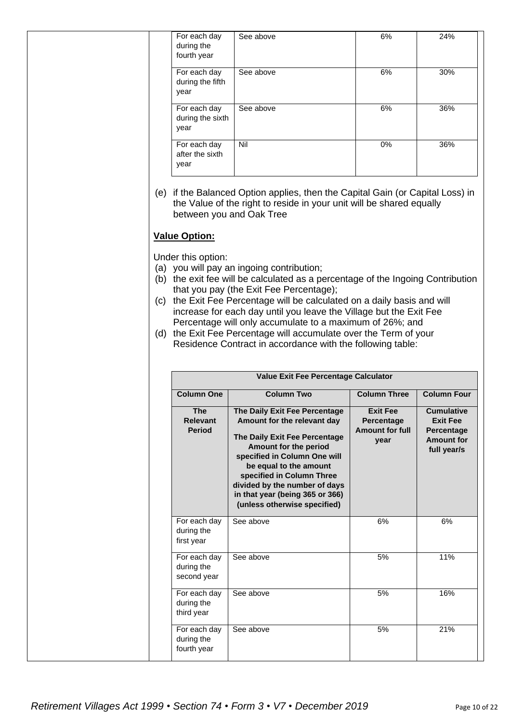| For each day<br>during the<br>fourth year | See above | 6% | 24% |
|-------------------------------------------|-----------|----|-----|
| For each day<br>during the fifth<br>year  | See above | 6% | 30% |
| For each day<br>during the sixth<br>year  | See above | 6% | 36% |
| For each day<br>after the sixth<br>year   | Nil       | 0% | 36% |

(e) if the Balanced Option applies, then the Capital Gain (or Capital Loss) in the Value of the right to reside in your unit will be shared equally between you and Oak Tree

#### **Value Option:**

Under this option:

- (a) you will pay an ingoing contribution;
- (b) the exit fee will be calculated as a percentage of the Ingoing Contribution that you pay (the Exit Fee Percentage);
- (c) the Exit Fee Percentage will be calculated on a daily basis and will increase for each day until you leave the Village but the Exit Fee Percentage will only accumulate to a maximum of 26%; and
- (d) the Exit Fee Percentage will accumulate over the Term of your Residence Contract in accordance with the following table:

|                                                | <b>Value Exit Fee Percentage Calculator</b>                                                                                                                                                                                                                                                                       |                                                                 |                                                                                        |  |
|------------------------------------------------|-------------------------------------------------------------------------------------------------------------------------------------------------------------------------------------------------------------------------------------------------------------------------------------------------------------------|-----------------------------------------------------------------|----------------------------------------------------------------------------------------|--|
| <b>Column One</b>                              | <b>Column Two</b>                                                                                                                                                                                                                                                                                                 | <b>Column Three</b>                                             | <b>Column Four</b>                                                                     |  |
| <b>The</b><br><b>Relevant</b><br><b>Period</b> | The Daily Exit Fee Percentage<br>Amount for the relevant day<br>The Daily Exit Fee Percentage<br>Amount for the period<br>specified in Column One will<br>be equal to the amount<br>specified in Column Three<br>divided by the number of days<br>in that year (being 365 or 366)<br>(unless otherwise specified) | <b>Exit Fee</b><br>Percentage<br><b>Amount for full</b><br>year | <b>Cumulative</b><br><b>Exit Fee</b><br>Percentage<br><b>Amount for</b><br>full year/s |  |
| For each day<br>during the<br>first year       | See above                                                                                                                                                                                                                                                                                                         | 6%                                                              | 6%                                                                                     |  |
| For each day<br>during the<br>second year      | See above                                                                                                                                                                                                                                                                                                         | 5%                                                              | 11%                                                                                    |  |
| For each day<br>during the<br>third year       | See above                                                                                                                                                                                                                                                                                                         | 5%                                                              | 16%                                                                                    |  |
| For each day<br>during the<br>fourth year      | See above                                                                                                                                                                                                                                                                                                         | 5%                                                              | 21%                                                                                    |  |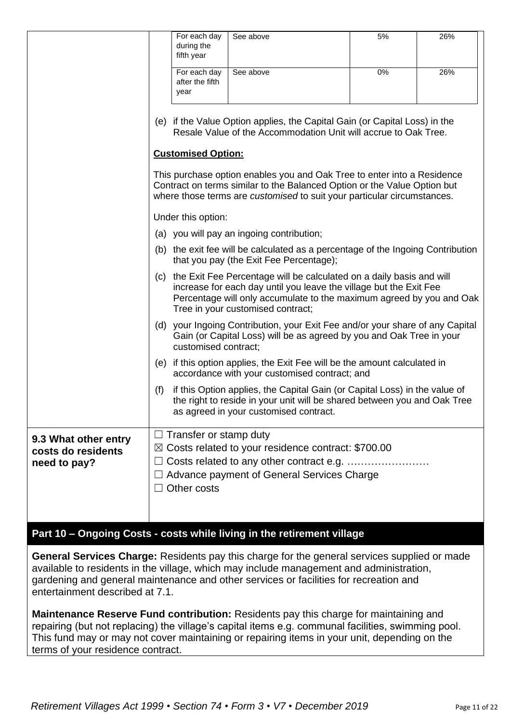|                                                            |                                                                                                                                                                                                                                                             | For each day<br>during the<br>fifth year     | See above                                                                                                                                                                                                                      | 5% | 26% |
|------------------------------------------------------------|-------------------------------------------------------------------------------------------------------------------------------------------------------------------------------------------------------------------------------------------------------------|----------------------------------------------|--------------------------------------------------------------------------------------------------------------------------------------------------------------------------------------------------------------------------------|----|-----|
|                                                            |                                                                                                                                                                                                                                                             | For each day<br>after the fifth<br>year      | See above                                                                                                                                                                                                                      | 0% | 26% |
|                                                            |                                                                                                                                                                                                                                                             |                                              | (e) if the Value Option applies, the Capital Gain (or Capital Loss) in the<br>Resale Value of the Accommodation Unit will accrue to Oak Tree.                                                                                  |    |     |
|                                                            |                                                                                                                                                                                                                                                             | <b>Customised Option:</b>                    |                                                                                                                                                                                                                                |    |     |
|                                                            |                                                                                                                                                                                                                                                             |                                              | This purchase option enables you and Oak Tree to enter into a Residence<br>Contract on terms similar to the Balanced Option or the Value Option but<br>where those terms are customised to suit your particular circumstances. |    |     |
|                                                            |                                                                                                                                                                                                                                                             | Under this option:                           |                                                                                                                                                                                                                                |    |     |
|                                                            |                                                                                                                                                                                                                                                             |                                              | (a) you will pay an ingoing contribution;                                                                                                                                                                                      |    |     |
|                                                            | (b) the exit fee will be calculated as a percentage of the Ingoing Contribution<br>that you pay (the Exit Fee Percentage);                                                                                                                                  |                                              |                                                                                                                                                                                                                                |    |     |
|                                                            | (c) the Exit Fee Percentage will be calculated on a daily basis and will<br>increase for each day until you leave the village but the Exit Fee<br>Percentage will only accumulate to the maximum agreed by you and Oak<br>Tree in your customised contract; |                                              |                                                                                                                                                                                                                                |    |     |
|                                                            |                                                                                                                                                                                                                                                             | customised contract;                         | (d) your Ingoing Contribution, your Exit Fee and/or your share of any Capital<br>Gain (or Capital Loss) will be as agreed by you and Oak Tree in your                                                                          |    |     |
|                                                            | (e)                                                                                                                                                                                                                                                         |                                              | if this option applies, the Exit Fee will be the amount calculated in<br>accordance with your customised contract; and                                                                                                         |    |     |
|                                                            | (f)                                                                                                                                                                                                                                                         |                                              | if this Option applies, the Capital Gain (or Capital Loss) in the value of<br>the right to reside in your unit will be shared between you and Oak Tree<br>as agreed in your customised contract.                               |    |     |
| 9.3 What other entry<br>costs do residents<br>need to pay? | $\boxtimes$                                                                                                                                                                                                                                                 | $\Box$ Transfer or stamp duty<br>Other costs | Costs related to your residence contract: \$700.00<br>Advance payment of General Services Charge                                                                                                                               |    |     |

# **Part 10 – Ongoing Costs - costs while living in the retirement village**

**General Services Charge:** Residents pay this charge for the general services supplied or made available to residents in the village, which may include management and administration, gardening and general maintenance and other services or facilities for recreation and entertainment described at 7.1.

**Maintenance Reserve Fund contribution:** Residents pay this charge for maintaining and repairing (but not replacing) the village's capital items e.g. communal facilities, swimming pool. This fund may or may not cover maintaining or repairing items in your unit, depending on the terms of your residence contract.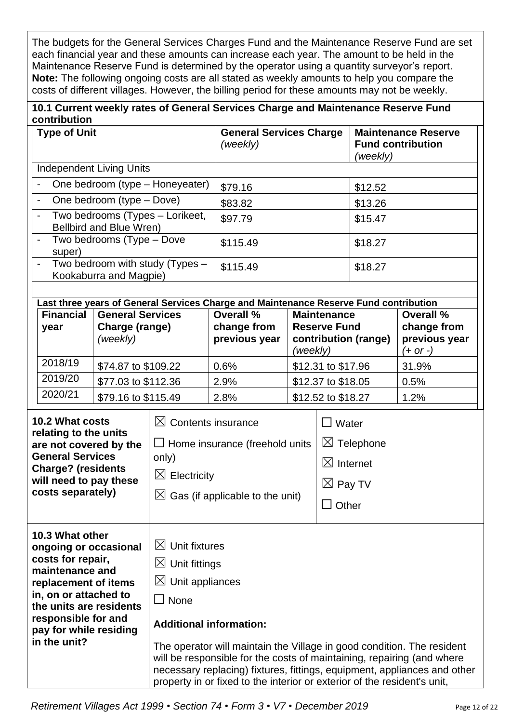The budgets for the General Services Charges Fund and the Maintenance Reserve Fund are set each financial year and these amounts can increase each year. The amount to be held in the Maintenance Reserve Fund is determined by the operator using a quantity surveyor's report. **Note:** The following ongoing costs are all stated as weekly amounts to help you compare the costs of different villages. However, the billing period for these amounts may not be weekly.

| 10.1 Current weekly rates of General Services Charge and Maintenance Reserve Fund |  |
|-----------------------------------------------------------------------------------|--|
| contribution                                                                      |  |

|                                                                                                                                                                                  | <b>Type of Unit</b>                                                                                                                                                                                                           |                                                                                                                                                            |                                                                                                                                           | <b>General Services Charge</b><br>(weekly)                                                                                                                                                                                   |                                                                              |                                           | (weekly)             | <b>Maintenance Reserve</b><br><b>Fund contribution</b>                   |
|----------------------------------------------------------------------------------------------------------------------------------------------------------------------------------|-------------------------------------------------------------------------------------------------------------------------------------------------------------------------------------------------------------------------------|------------------------------------------------------------------------------------------------------------------------------------------------------------|-------------------------------------------------------------------------------------------------------------------------------------------|------------------------------------------------------------------------------------------------------------------------------------------------------------------------------------------------------------------------------|------------------------------------------------------------------------------|-------------------------------------------|----------------------|--------------------------------------------------------------------------|
|                                                                                                                                                                                  | <b>Independent Living Units</b>                                                                                                                                                                                               |                                                                                                                                                            |                                                                                                                                           |                                                                                                                                                                                                                              |                                                                              |                                           |                      |                                                                          |
|                                                                                                                                                                                  |                                                                                                                                                                                                                               |                                                                                                                                                            | One bedroom (type - Honeyeater)                                                                                                           | \$79.16                                                                                                                                                                                                                      |                                                                              |                                           | \$12.52              |                                                                          |
|                                                                                                                                                                                  |                                                                                                                                                                                                                               | One bedroom (type - Dove)                                                                                                                                  |                                                                                                                                           | \$83.82                                                                                                                                                                                                                      |                                                                              |                                           | \$13.26              |                                                                          |
| Two bedrooms (Types - Lorikeet,<br>Bellbird and Blue Wren)                                                                                                                       |                                                                                                                                                                                                                               |                                                                                                                                                            | \$97.79                                                                                                                                   |                                                                                                                                                                                                                              |                                                                              | \$15.47                                   |                      |                                                                          |
|                                                                                                                                                                                  | super)                                                                                                                                                                                                                        | Two bedrooms (Type - Dove                                                                                                                                  |                                                                                                                                           | \$115.49                                                                                                                                                                                                                     |                                                                              |                                           | \$18.27              |                                                                          |
|                                                                                                                                                                                  |                                                                                                                                                                                                                               | Kookaburra and Magpie)                                                                                                                                     | Two bedroom with study (Types -                                                                                                           | \$115.49                                                                                                                                                                                                                     |                                                                              |                                           | \$18.27              |                                                                          |
|                                                                                                                                                                                  |                                                                                                                                                                                                                               |                                                                                                                                                            |                                                                                                                                           | Last three years of General Services Charge and Maintenance Reserve Fund contribution                                                                                                                                        |                                                                              |                                           |                      |                                                                          |
|                                                                                                                                                                                  | <b>Financial</b><br>year                                                                                                                                                                                                      | <b>General Services</b><br>Charge (range)<br>(weekly)                                                                                                      |                                                                                                                                           | Overall %<br>change from<br>previous year                                                                                                                                                                                    | (weekly)                                                                     | <b>Maintenance</b><br><b>Reserve Fund</b> | contribution (range) | Overall %<br>change from<br>previous year<br>(+ or -)                    |
|                                                                                                                                                                                  | 2018/19                                                                                                                                                                                                                       | \$74.87 to \$109.22                                                                                                                                        |                                                                                                                                           | 0.6%                                                                                                                                                                                                                         |                                                                              | \$12.31 to \$17.96                        |                      | 31.9%                                                                    |
|                                                                                                                                                                                  | 2019/20                                                                                                                                                                                                                       | \$77.03 to \$112.36                                                                                                                                        |                                                                                                                                           | 2.9%                                                                                                                                                                                                                         |                                                                              | \$12.37 to \$18.05                        |                      | 0.5%                                                                     |
|                                                                                                                                                                                  | 2020/21                                                                                                                                                                                                                       | \$79.16 to \$115.49                                                                                                                                        |                                                                                                                                           | 2.8%                                                                                                                                                                                                                         |                                                                              | \$12.52 to \$18.27                        |                      | 1.2%                                                                     |
| <b>10.2 What costs</b><br>relating to the units<br>are not covered by the<br><b>General Services</b><br><b>Charge? (residents</b><br>will need to pay these<br>costs separately) |                                                                                                                                                                                                                               | $\boxtimes$ Contents insurance<br>$\Box$ Home insurance (freehold units<br>only)<br>$\boxtimes$ Electricity<br>$\boxtimes$ Gas (if applicable to the unit) |                                                                                                                                           | $\square$ Water                                                                                                                                                                                                              | $\boxtimes$ Telephone<br>$\boxtimes$ Internet<br>$\boxtimes$ Pay TV<br>Other |                                           |                      |                                                                          |
|                                                                                                                                                                                  | 10.3 What other<br>ongoing or occasional<br>costs for repair,<br>maintenance and<br>replacement of items<br>in, on or attached to<br>the units are residents<br>responsible for and<br>pay for while residing<br>in the unit? |                                                                                                                                                            | $\boxtimes$ Unit fixtures<br>$\boxtimes$ Unit fittings<br>$\boxtimes$ Unit appliances<br>$\square$ None<br><b>Additional information:</b> | The operator will maintain the Village in good condition. The resident<br>will be responsible for the costs of maintaining, repairing (and where<br>property in or fixed to the interior or exterior of the resident's unit, |                                                                              |                                           |                      | necessary replacing) fixtures, fittings, equipment, appliances and other |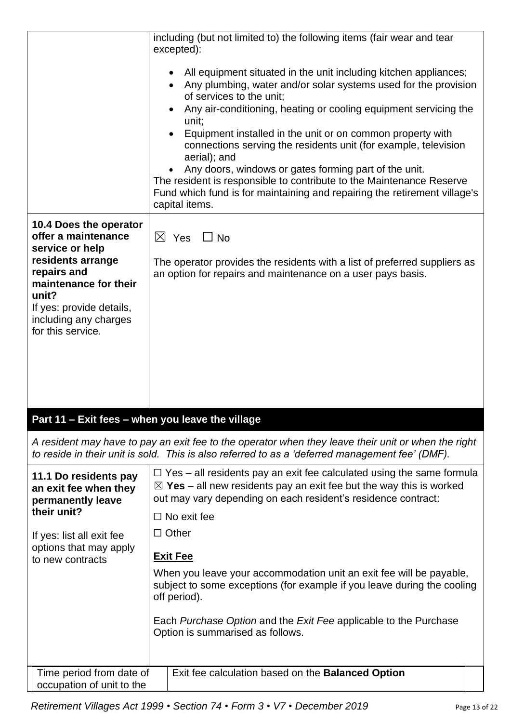|                                                                                                                                                                 | including (but not limited to) the following items (fair wear and tear<br>excepted):                                                                                                                                                                                                                                                                                                                                                                                                                                                                                                                                          |
|-----------------------------------------------------------------------------------------------------------------------------------------------------------------|-------------------------------------------------------------------------------------------------------------------------------------------------------------------------------------------------------------------------------------------------------------------------------------------------------------------------------------------------------------------------------------------------------------------------------------------------------------------------------------------------------------------------------------------------------------------------------------------------------------------------------|
|                                                                                                                                                                 | All equipment situated in the unit including kitchen appliances;<br>Any plumbing, water and/or solar systems used for the provision<br>of services to the unit;<br>Any air-conditioning, heating or cooling equipment servicing the<br>unit;<br>Equipment installed in the unit or on common property with<br>connections serving the residents unit (for example, television<br>aerial); and<br>Any doors, windows or gates forming part of the unit.<br>The resident is responsible to contribute to the Maintenance Reserve<br>Fund which fund is for maintaining and repairing the retirement village's<br>capital items. |
| 10.4 Does the operator<br>offer a maintenance                                                                                                                   | $\boxtimes$ Yes $\Box$ No                                                                                                                                                                                                                                                                                                                                                                                                                                                                                                                                                                                                     |
| service or help<br>residents arrange<br>repairs and<br>maintenance for their<br>unit?<br>If yes: provide details,<br>including any charges<br>for this service. | The operator provides the residents with a list of preferred suppliers as<br>an option for repairs and maintenance on a user pays basis.                                                                                                                                                                                                                                                                                                                                                                                                                                                                                      |
| Part 11 - Exit fees - when you leave the village                                                                                                                |                                                                                                                                                                                                                                                                                                                                                                                                                                                                                                                                                                                                                               |
|                                                                                                                                                                 | A resident may have to pay an exit fee to the operator when they leave their unit or when the right<br>to reside in their unit is sold. This is also referred to as a 'deferred management fee' (DMF).                                                                                                                                                                                                                                                                                                                                                                                                                        |
| 11.1 Do residents pay<br>an exit fee when they<br>permanently leave<br>their unit?                                                                              | $\Box$ Yes – all residents pay an exit fee calculated using the same formula<br>$\boxtimes$ Yes – all new residents pay an exit fee but the way this is worked<br>out may vary depending on each resident's residence contract:                                                                                                                                                                                                                                                                                                                                                                                               |
| If yes: list all exit fee                                                                                                                                       | $\Box$ No exit fee<br>$\Box$ Other                                                                                                                                                                                                                                                                                                                                                                                                                                                                                                                                                                                            |
| options that may apply<br>to new contracts                                                                                                                      | <b>Exit Fee</b><br>When you leave your accommodation unit an exit fee will be payable,<br>subject to some exceptions (for example if you leave during the cooling<br>off period).<br>Each Purchase Option and the Exit Fee applicable to the Purchase                                                                                                                                                                                                                                                                                                                                                                         |
|                                                                                                                                                                 | Option is summarised as follows.                                                                                                                                                                                                                                                                                                                                                                                                                                                                                                                                                                                              |
| Time period from date of<br>occupation of unit to the                                                                                                           | Exit fee calculation based on the Balanced Option                                                                                                                                                                                                                                                                                                                                                                                                                                                                                                                                                                             |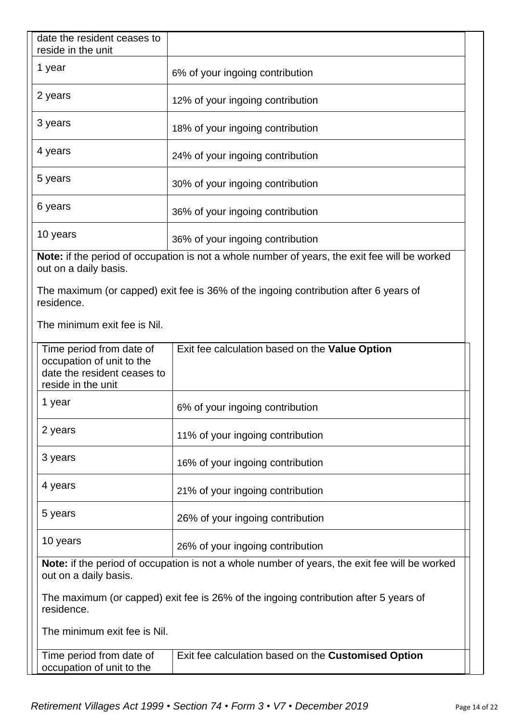| date the resident ceases to<br>reside in the unit                                                          |                                                                                               |  |  |  |
|------------------------------------------------------------------------------------------------------------|-----------------------------------------------------------------------------------------------|--|--|--|
| 1 year                                                                                                     | 6% of your ingoing contribution                                                               |  |  |  |
| 2 years                                                                                                    | 12% of your ingoing contribution                                                              |  |  |  |
| 3 years                                                                                                    | 18% of your ingoing contribution                                                              |  |  |  |
| 4 years                                                                                                    | 24% of your ingoing contribution                                                              |  |  |  |
| 5 years                                                                                                    | 30% of your ingoing contribution                                                              |  |  |  |
| 6 years                                                                                                    | 36% of your ingoing contribution                                                              |  |  |  |
| 10 years                                                                                                   | 36% of your ingoing contribution                                                              |  |  |  |
| out on a daily basis.                                                                                      | Note: if the period of occupation is not a whole number of years, the exit fee will be worked |  |  |  |
| residence.                                                                                                 | The maximum (or capped) exit fee is 36% of the ingoing contribution after 6 years of          |  |  |  |
| The minimum exit fee is Nil.                                                                               |                                                                                               |  |  |  |
| Time period from date of<br>occupation of unit to the<br>date the resident ceases to<br>reside in the unit | Exit fee calculation based on the Value Option                                                |  |  |  |
| 1 year                                                                                                     | 6% of your ingoing contribution                                                               |  |  |  |
| 2 years                                                                                                    | 11% of your ingoing contribution                                                              |  |  |  |
| 3 years                                                                                                    | 16% of your ingoing contribution                                                              |  |  |  |
| 4 years                                                                                                    | 21% of your ingoing contribution                                                              |  |  |  |
| 5 years                                                                                                    | 26% of your ingoing contribution                                                              |  |  |  |
| 10 years                                                                                                   | 26% of your ingoing contribution                                                              |  |  |  |
| out on a daily basis.                                                                                      | Note: if the period of occupation is not a whole number of years, the exit fee will be worked |  |  |  |
| residence.                                                                                                 | The maximum (or capped) exit fee is 26% of the ingoing contribution after 5 years of          |  |  |  |
| The minimum exit fee is Nil.                                                                               |                                                                                               |  |  |  |
| Time period from date of<br>occupation of unit to the                                                      | Exit fee calculation based on the Customised Option                                           |  |  |  |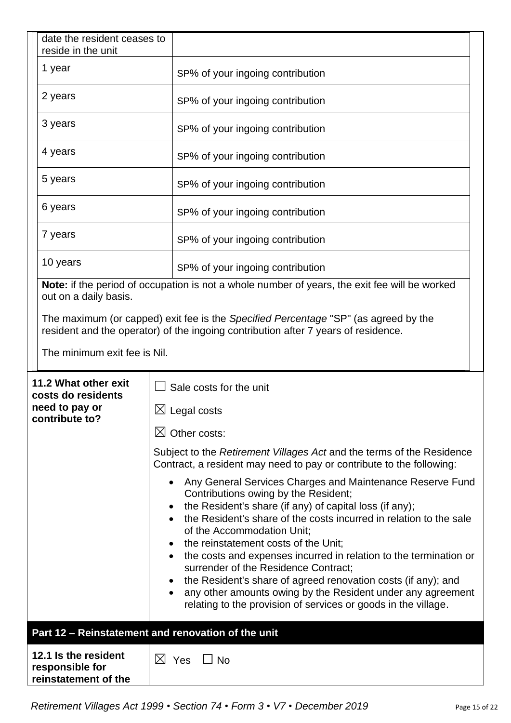|  | date the resident ceases to<br>reside in the unit               |                                                                                                                                                                                                                                                                                                                                    |  |  |
|--|-----------------------------------------------------------------|------------------------------------------------------------------------------------------------------------------------------------------------------------------------------------------------------------------------------------------------------------------------------------------------------------------------------------|--|--|
|  | 1 year                                                          | SP% of your ingoing contribution                                                                                                                                                                                                                                                                                                   |  |  |
|  | 2 years                                                         | SP% of your ingoing contribution                                                                                                                                                                                                                                                                                                   |  |  |
|  | 3 years                                                         | SP% of your ingoing contribution                                                                                                                                                                                                                                                                                                   |  |  |
|  | 4 years                                                         | SP% of your ingoing contribution                                                                                                                                                                                                                                                                                                   |  |  |
|  | 5 years                                                         | SP% of your ingoing contribution                                                                                                                                                                                                                                                                                                   |  |  |
|  | 6 years                                                         | SP% of your ingoing contribution                                                                                                                                                                                                                                                                                                   |  |  |
|  | 7 years                                                         | SP% of your ingoing contribution                                                                                                                                                                                                                                                                                                   |  |  |
|  | 10 years                                                        | SP% of your ingoing contribution                                                                                                                                                                                                                                                                                                   |  |  |
|  | out on a daily basis.                                           | Note: if the period of occupation is not a whole number of years, the exit fee will be worked                                                                                                                                                                                                                                      |  |  |
|  |                                                                 | The maximum (or capped) exit fee is the Specified Percentage "SP" (as agreed by the<br>resident and the operator) of the ingoing contribution after 7 years of residence.                                                                                                                                                          |  |  |
|  | The minimum exit fee is Nil.                                    |                                                                                                                                                                                                                                                                                                                                    |  |  |
|  | 11.2 What other exit<br>costs do residents                      | Sale costs for the unit                                                                                                                                                                                                                                                                                                            |  |  |
|  | need to pay or<br>contribute to?                                | $\boxtimes$ Legal costs                                                                                                                                                                                                                                                                                                            |  |  |
|  |                                                                 | $\boxtimes$ Other costs:                                                                                                                                                                                                                                                                                                           |  |  |
|  |                                                                 | Subject to the Retirement Villages Act and the terms of the Residence<br>Contract, a resident may need to pay or contribute to the following:                                                                                                                                                                                      |  |  |
|  |                                                                 | Any General Services Charges and Maintenance Reserve Fund<br>$\bullet$<br>Contributions owing by the Resident;<br>the Resident's share (if any) of capital loss (if any);<br>$\bullet$<br>the Resident's share of the costs incurred in relation to the sale<br>of the Accommodation Unit;<br>the reinstatement costs of the Unit; |  |  |
|  |                                                                 | the costs and expenses incurred in relation to the termination or<br>٠<br>surrender of the Residence Contract;<br>the Resident's share of agreed renovation costs (if any); and<br>any other amounts owing by the Resident under any agreement<br>٠<br>relating to the provision of services or goods in the village.              |  |  |
|  |                                                                 | Part 12 - Reinstatement and renovation of the unit                                                                                                                                                                                                                                                                                 |  |  |
|  | 12.1 Is the resident<br>responsible for<br>reinstatement of the | $\boxtimes$ Yes<br>$\Box$ No                                                                                                                                                                                                                                                                                                       |  |  |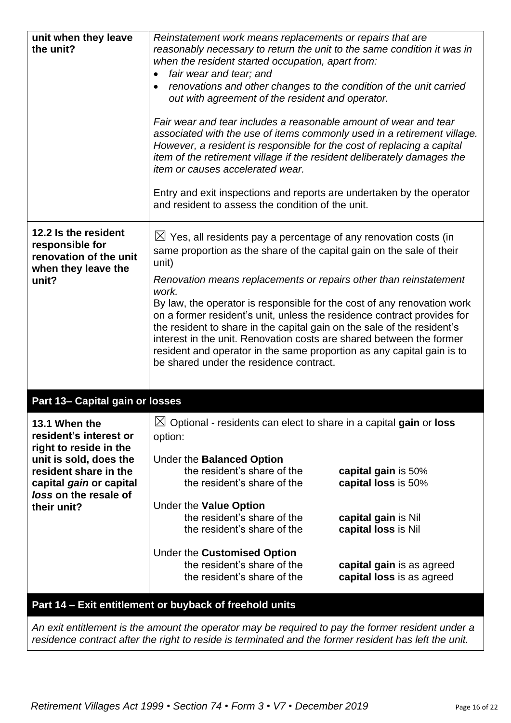| unit when they leave<br>the unit?                                                                                                                                                       | Reinstatement work means replacements or repairs that are<br>reasonably necessary to return the unit to the same condition it was in<br>when the resident started occupation, apart from:<br>fair wear and tear; and<br>$\bullet$<br>renovations and other changes to the condition of the unit carried<br>out with agreement of the resident and operator.<br>Fair wear and tear includes a reasonable amount of wear and tear<br>associated with the use of items commonly used in a retirement village.<br>However, a resident is responsible for the cost of replacing a capital<br>item of the retirement village if the resident deliberately damages the<br>item or causes accelerated wear.<br>Entry and exit inspections and reports are undertaken by the operator<br>and resident to assess the condition of the unit. |                                                                                                                                                                                                                                                                                                                                                                                                                                                                                                                                                                                                              |  |
|-----------------------------------------------------------------------------------------------------------------------------------------------------------------------------------------|-----------------------------------------------------------------------------------------------------------------------------------------------------------------------------------------------------------------------------------------------------------------------------------------------------------------------------------------------------------------------------------------------------------------------------------------------------------------------------------------------------------------------------------------------------------------------------------------------------------------------------------------------------------------------------------------------------------------------------------------------------------------------------------------------------------------------------------|--------------------------------------------------------------------------------------------------------------------------------------------------------------------------------------------------------------------------------------------------------------------------------------------------------------------------------------------------------------------------------------------------------------------------------------------------------------------------------------------------------------------------------------------------------------------------------------------------------------|--|
| 12.2 Is the resident<br>responsible for<br>renovation of the unit<br>when they leave the<br>unit?                                                                                       | unit)<br>work.<br>be shared under the residence contract.                                                                                                                                                                                                                                                                                                                                                                                                                                                                                                                                                                                                                                                                                                                                                                         | $\boxtimes$ Yes, all residents pay a percentage of any renovation costs (in<br>same proportion as the share of the capital gain on the sale of their<br>Renovation means replacements or repairs other than reinstatement<br>By law, the operator is responsible for the cost of any renovation work<br>on a former resident's unit, unless the residence contract provides for<br>the resident to share in the capital gain on the sale of the resident's<br>interest in the unit. Renovation costs are shared between the former<br>resident and operator in the same proportion as any capital gain is to |  |
| Part 13- Capital gain or losses                                                                                                                                                         |                                                                                                                                                                                                                                                                                                                                                                                                                                                                                                                                                                                                                                                                                                                                                                                                                                   |                                                                                                                                                                                                                                                                                                                                                                                                                                                                                                                                                                                                              |  |
| 13.1 When the<br>resident's interest or<br>right to reside in the<br>unit is sold, does the<br>resident share in the<br>capital gain or capital<br>loss on the resale of<br>their unit? | $\boxtimes$ Optional - residents can elect to share in a capital gain or loss<br>option:<br>Under the Balanced Option<br>the resident's share of the<br>the resident's share of the<br>Under the Value Option<br>the resident's share of the<br>the resident's share of the<br>Under the Customised Option<br>the resident's share of the<br>the resident's share of the                                                                                                                                                                                                                                                                                                                                                                                                                                                          | capital gain is 50%<br>capital loss is 50%<br>capital gain is Nil<br>capital loss is Nil<br>capital gain is as agreed<br>capital loss is as agreed                                                                                                                                                                                                                                                                                                                                                                                                                                                           |  |

*An exit entitlement is the amount the operator may be required to pay the former resident under a residence contract after the right to reside is terminated and the former resident has left the unit.*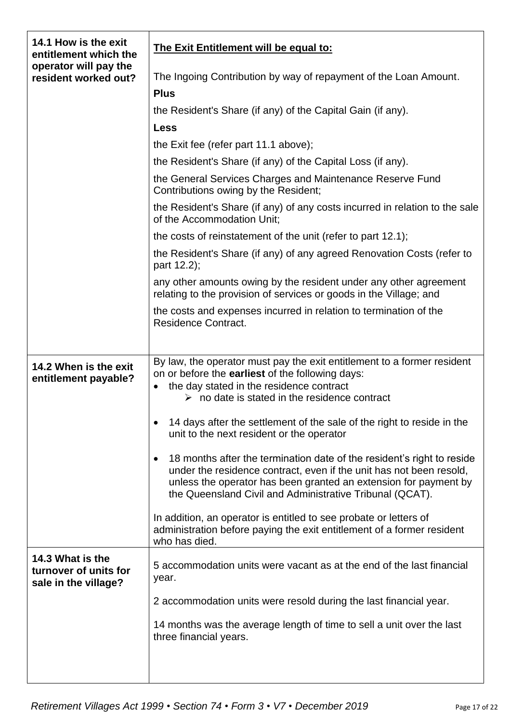| 14.1 How is the exit<br>entitlement which the                     | The Exit Entitlement will be equal to:                                                                                                                                                                                                                                        |
|-------------------------------------------------------------------|-------------------------------------------------------------------------------------------------------------------------------------------------------------------------------------------------------------------------------------------------------------------------------|
| operator will pay the<br>resident worked out?                     | The Ingoing Contribution by way of repayment of the Loan Amount.                                                                                                                                                                                                              |
|                                                                   | <b>Plus</b>                                                                                                                                                                                                                                                                   |
|                                                                   | the Resident's Share (if any) of the Capital Gain (if any).                                                                                                                                                                                                                   |
|                                                                   | <b>Less</b>                                                                                                                                                                                                                                                                   |
|                                                                   | the Exit fee (refer part 11.1 above);                                                                                                                                                                                                                                         |
|                                                                   | the Resident's Share (if any) of the Capital Loss (if any).                                                                                                                                                                                                                   |
|                                                                   | the General Services Charges and Maintenance Reserve Fund<br>Contributions owing by the Resident;                                                                                                                                                                             |
|                                                                   | the Resident's Share (if any) of any costs incurred in relation to the sale<br>of the Accommodation Unit;                                                                                                                                                                     |
|                                                                   | the costs of reinstatement of the unit (refer to part 12.1);                                                                                                                                                                                                                  |
|                                                                   | the Resident's Share (if any) of any agreed Renovation Costs (refer to<br>part 12.2);                                                                                                                                                                                         |
|                                                                   | any other amounts owing by the resident under any other agreement<br>relating to the provision of services or goods in the Village; and                                                                                                                                       |
|                                                                   | the costs and expenses incurred in relation to termination of the<br><b>Residence Contract.</b>                                                                                                                                                                               |
|                                                                   |                                                                                                                                                                                                                                                                               |
| 14.2 When is the exit<br>entitlement payable?                     | By law, the operator must pay the exit entitlement to a former resident<br>on or before the earliest of the following days:<br>the day stated in the residence contract<br>$\bullet$<br>$\triangleright$ no date is stated in the residence contract                          |
|                                                                   |                                                                                                                                                                                                                                                                               |
|                                                                   | 14 days after the settlement of the sale of the right to reside in the<br>unit to the next resident or the operator                                                                                                                                                           |
|                                                                   | 18 months after the termination date of the resident's right to reside<br>under the residence contract, even if the unit has not been resold,<br>unless the operator has been granted an extension for payment by<br>the Queensland Civil and Administrative Tribunal (QCAT). |
|                                                                   | In addition, an operator is entitled to see probate or letters of<br>administration before paying the exit entitlement of a former resident<br>who has died.                                                                                                                  |
| 14.3 What is the<br>turnover of units for<br>sale in the village? | 5 accommodation units were vacant as at the end of the last financial<br>year.                                                                                                                                                                                                |
|                                                                   | 2 accommodation units were resold during the last financial year.                                                                                                                                                                                                             |
|                                                                   | 14 months was the average length of time to sell a unit over the last<br>three financial years.                                                                                                                                                                               |
|                                                                   |                                                                                                                                                                                                                                                                               |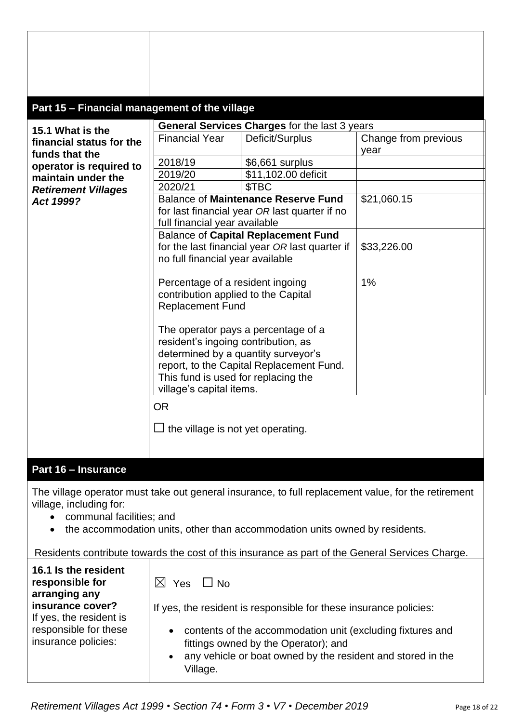| Part 15 - Financial management of the village                                                                                                                       |                                                                                                                                               |                                                                                                                                                                   |                                                                                                     |
|---------------------------------------------------------------------------------------------------------------------------------------------------------------------|-----------------------------------------------------------------------------------------------------------------------------------------------|-------------------------------------------------------------------------------------------------------------------------------------------------------------------|-----------------------------------------------------------------------------------------------------|
|                                                                                                                                                                     |                                                                                                                                               |                                                                                                                                                                   |                                                                                                     |
| 15.1 What is the<br>financial status for the<br>funds that the                                                                                                      | <b>Financial Year</b>                                                                                                                         | General Services Charges for the last 3 years<br>Deficit/Surplus                                                                                                  | Change from previous<br>year                                                                        |
| operator is required to                                                                                                                                             | 2018/19                                                                                                                                       | \$6,661 surplus                                                                                                                                                   |                                                                                                     |
| maintain under the                                                                                                                                                  | 2019/20                                                                                                                                       | \$11,102.00 deficit                                                                                                                                               |                                                                                                     |
| <b>Retirement Villages</b>                                                                                                                                          | 2020/21                                                                                                                                       | \$TBC                                                                                                                                                             |                                                                                                     |
| Act 1999?                                                                                                                                                           | full financial year available                                                                                                                 | <b>Balance of Maintenance Reserve Fund</b><br>for last financial year OR last quarter if no                                                                       | \$21,060.15                                                                                         |
|                                                                                                                                                                     | no full financial year available                                                                                                              | <b>Balance of Capital Replacement Fund</b><br>for the last financial year OR last quarter if                                                                      | \$33,226.00                                                                                         |
|                                                                                                                                                                     | Percentage of a resident ingoing<br>contribution applied to the Capital<br><b>Replacement Fund</b>                                            |                                                                                                                                                                   | 1%                                                                                                  |
|                                                                                                                                                                     | resident's ingoing contribution, as<br>determined by a quantity surveyor's<br>This fund is used for replacing the<br>village's capital items. | The operator pays a percentage of a<br>report, to the Capital Replacement Fund.                                                                                   |                                                                                                     |
|                                                                                                                                                                     | <b>OR</b><br>the village is not yet operating.                                                                                                |                                                                                                                                                                   |                                                                                                     |
| Part 16 - Insurance                                                                                                                                                 |                                                                                                                                               |                                                                                                                                                                   |                                                                                                     |
| village, including for:<br>communal facilities; and<br>$\bullet$<br>Residents contribute towards the cost of this insurance as part of the General Services Charge. |                                                                                                                                               | the accommodation units, other than accommodation units owned by residents.                                                                                       | The village operator must take out general insurance, to full replacement value, for the retirement |
|                                                                                                                                                                     |                                                                                                                                               |                                                                                                                                                                   |                                                                                                     |
| 16.1 Is the resident<br>responsible for<br>arranging any                                                                                                            | $\boxtimes$ Yes $\Box$ No                                                                                                                     |                                                                                                                                                                   |                                                                                                     |
| insurance cover?<br>If yes, the resident is                                                                                                                         |                                                                                                                                               | If yes, the resident is responsible for these insurance policies:                                                                                                 |                                                                                                     |
| responsible for these<br>insurance policies:                                                                                                                        | $\bullet$<br>$\bullet$<br>Village.                                                                                                            | contents of the accommodation unit (excluding fixtures and<br>fittings owned by the Operator); and<br>any vehicle or boat owned by the resident and stored in the |                                                                                                     |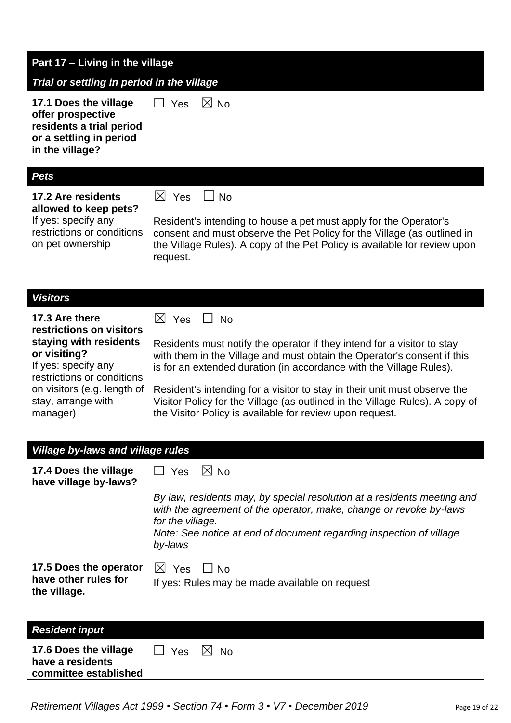| Part 17 - Living in the village                                                                                                                                          |                                                                                                                                                                                                                                                                                                                                        |
|--------------------------------------------------------------------------------------------------------------------------------------------------------------------------|----------------------------------------------------------------------------------------------------------------------------------------------------------------------------------------------------------------------------------------------------------------------------------------------------------------------------------------|
| Trial or settling in period in the village                                                                                                                               |                                                                                                                                                                                                                                                                                                                                        |
| 17.1 Does the village<br>offer prospective<br>residents a trial period<br>or a settling in period<br>in the village?<br><b>Pets</b>                                      | $\Box$ Yes<br>$\boxtimes$ No                                                                                                                                                                                                                                                                                                           |
| 17.2 Are residents<br>allowed to keep pets?<br>If yes: specify any<br>restrictions or conditions<br>on pet ownership                                                     | $\boxtimes$ Yes<br>$\sqcup$ No<br>Resident's intending to house a pet must apply for the Operator's<br>consent and must observe the Pet Policy for the Village (as outlined in<br>the Village Rules). A copy of the Pet Policy is available for review upon<br>request.                                                                |
| <b>Visitors</b>                                                                                                                                                          |                                                                                                                                                                                                                                                                                                                                        |
| 17.3 Are there<br>restrictions on visitors<br>staying with residents<br>or visiting?<br>If yes: specify any<br>restrictions or conditions<br>on visitors (e.g. length of | $\boxtimes$ Yes<br>$\Box$ No<br>Residents must notify the operator if they intend for a visitor to stay<br>with them in the Village and must obtain the Operator's consent if this<br>is for an extended duration (in accordance with the Village Rules).<br>Resident's intending for a visitor to stay in their unit must observe the |
| stay, arrange with<br>manager)                                                                                                                                           | Visitor Policy for the Village (as outlined in the Village Rules). A copy of<br>the Visitor Policy is available for review upon request.                                                                                                                                                                                               |
| <b>Village by-laws and village rules</b>                                                                                                                                 |                                                                                                                                                                                                                                                                                                                                        |
| 17.4 Does the village<br>have village by-laws?                                                                                                                           | $\boxtimes$ No<br>$\Box$ Yes<br>By law, residents may, by special resolution at a residents meeting and<br>with the agreement of the operator, make, change or revoke by-laws<br>for the village.<br>Note: See notice at end of document regarding inspection of village<br>by-laws                                                    |
| 17.5 Does the operator<br>have other rules for<br>the village.                                                                                                           | $\boxtimes$ Yes $\Box$ No<br>If yes: Rules may be made available on request                                                                                                                                                                                                                                                            |
| <b>Resident input</b><br>17.6 Does the village<br>have a residents<br>committee established                                                                              | $\Box$ Yes<br>$\boxtimes$ No                                                                                                                                                                                                                                                                                                           |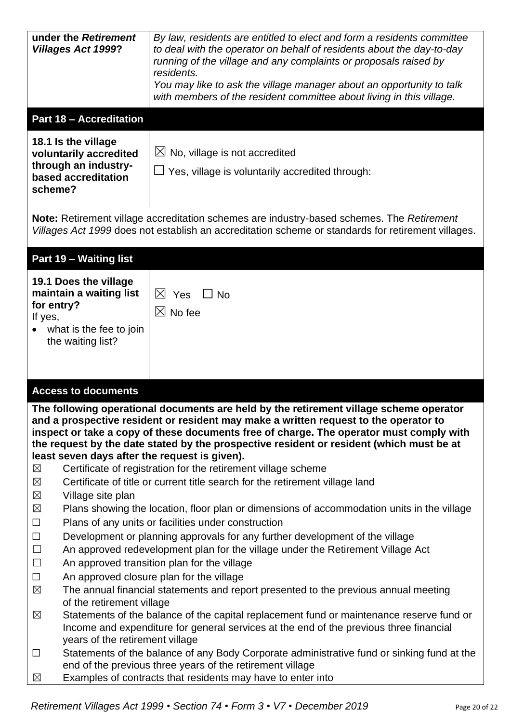| under the Retirement<br>By law, residents are entitled to elect and form a residents committee<br><b>Villages Act 1999?</b><br>to deal with the operator on behalf of residents about the day-to-day<br>running of the village and any complaints or proposals raised by<br>residents.<br>You may like to ask the village manager about an opportunity to talk<br>with members of the resident committee about living in this village.<br><b>Part 18 - Accreditation</b><br>18.1 Is the village<br>$\boxtimes$ No, village is not accredited<br>voluntarily accredited<br>through an industry-     |
|----------------------------------------------------------------------------------------------------------------------------------------------------------------------------------------------------------------------------------------------------------------------------------------------------------------------------------------------------------------------------------------------------------------------------------------------------------------------------------------------------------------------------------------------------------------------------------------------------|
|                                                                                                                                                                                                                                                                                                                                                                                                                                                                                                                                                                                                    |
|                                                                                                                                                                                                                                                                                                                                                                                                                                                                                                                                                                                                    |
| $\Box$ Yes, village is voluntarily accredited through:<br>based accreditation<br>scheme?                                                                                                                                                                                                                                                                                                                                                                                                                                                                                                           |
| Note: Retirement village accreditation schemes are industry-based schemes. The Retirement<br>Villages Act 1999 does not establish an accreditation scheme or standards for retirement villages.                                                                                                                                                                                                                                                                                                                                                                                                    |
| Part 19 - Waiting list                                                                                                                                                                                                                                                                                                                                                                                                                                                                                                                                                                             |
| 19.1 Does the village<br>maintain a waiting list<br>$\boxtimes$ Yes $\Box$ No<br>for entry?<br>$\boxtimes$ No fee<br>If yes,<br>what is the fee to join<br>the waiting list?                                                                                                                                                                                                                                                                                                                                                                                                                       |
| <b>Access to documents</b>                                                                                                                                                                                                                                                                                                                                                                                                                                                                                                                                                                         |
| The following operational documents are held by the retirement village scheme operator<br>and a prospective resident or resident may make a written request to the operator to<br>inspect or take a copy of these documents free of charge. The operator must comply with<br>the request by the date stated by the prospective resident or resident (which must be at<br>least seven days after the request is given).<br>$\times$<br>Certificate of registration for the retirement village scheme<br>Certificate of title or current title search for the retirement village land<br>$\boxtimes$ |
| $\times$<br>Village site plan<br>$\times$<br>Plans showing the location, floor plan or dimensions of accommodation units in the village<br>Plans of any units or facilities under construction<br>$\Box$                                                                                                                                                                                                                                                                                                                                                                                           |
| $\Box$<br>Development or planning approvals for any further development of the village<br>$\Box$<br>An approved redevelopment plan for the village under the Retirement Village Act<br>An approved transition plan for the village<br>$\Box$<br>$\Box$<br>An approved closure plan for the village<br>The annual financial statements and report presented to the previous annual meeting<br>$\boxtimes$<br>of the retirement village                                                                                                                                                              |
| Statements of the balance of the capital replacement fund or maintenance reserve fund or<br>$\boxtimes$<br>Income and expenditure for general services at the end of the previous three financial<br>years of the retirement village                                                                                                                                                                                                                                                                                                                                                               |
| Statements of the balance of any Body Corporate administrative fund or sinking fund at the<br>$\Box$<br>end of the previous three years of the retirement village<br>Examples of contracts that residents may have to enter into<br>$\boxtimes$                                                                                                                                                                                                                                                                                                                                                    |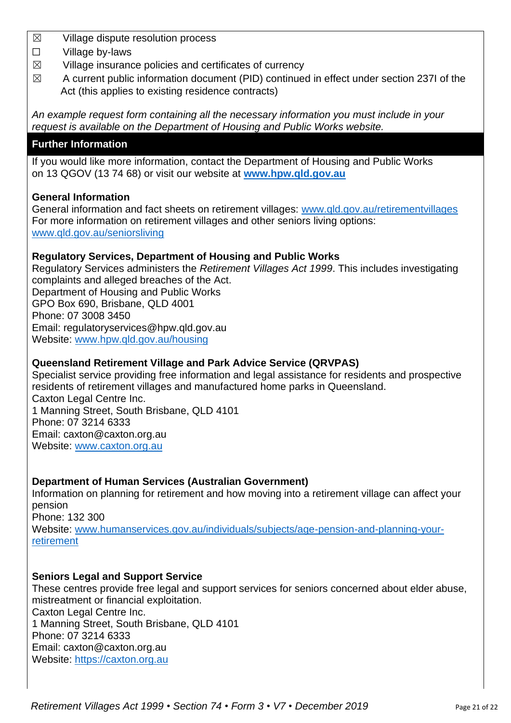- ☒ Village dispute resolution process
- ☐ Village by-laws
- $\boxtimes$  Village insurance policies and certificates of currency
- $\boxtimes$  A current public information document (PID) continued in effect under section 237I of the Act (this applies to existing residence contracts)

*An example request form containing all the necessary information you must include in your request is available on the Department of Housing and Public Works website.*

# **Further Information**

If you would like more information, contact the Department of Housing and Public Works on 13 QGOV (13 74 68) or visit our website at **[www.hpw.qld.gov.au](http://www.hpw.qld.gov.au/)**

### **General Information**

General information and fact sheets on retirement villages: [www.qld.gov.au/retirementvillages](http://www.qld.gov.au/retirementvillages) For more information on retirement villages and other seniors living options: [www.qld.gov.au/seniorsliving](http://www.qld.gov.au/seniorsliving)

### **Regulatory Services, Department of Housing and Public Works**

Regulatory Services administers the *Retirement Villages Act 1999*. This includes investigating complaints and alleged breaches of the Act. Department of Housing and Public Works GPO Box 690, Brisbane, QLD 4001 Phone: 07 3008 3450 Email: regulatoryservices@hpw.qld.gov.au Website: [www.hpw.qld.gov.au/housing](http://www.hpw.qld.gov.au/housing)

# **Queensland Retirement Village and Park Advice Service (QRVPAS)**

Specialist service providing free information and legal assistance for residents and prospective residents of retirement villages and manufactured home parks in Queensland. Caxton Legal Centre Inc. 1 Manning Street, South Brisbane, QLD 4101 Phone: 07 3214 6333 Email: caxton@caxton.org.au Website: [www.caxton.org.au](http://www.caxton.org.au/)

### **Department of Human Services (Australian Government)**

Information on planning for retirement and how moving into a retirement village can affect your pension

Phone: 132 300

Website: [www.humanservices.gov.au/individuals/subjects/age-pension-and-planning-your](file:///C:/Users/juliet.gross/AppData/Roaming/Microsoft/Word/www.humanservices.gov.au/individuals/subjects/age-pension-and-planning-your-retirement)[retirement](file:///C:/Users/juliet.gross/AppData/Roaming/Microsoft/Word/www.humanservices.gov.au/individuals/subjects/age-pension-and-planning-your-retirement)

### **Seniors Legal and Support Service**

These centres provide free legal and support services for seniors concerned about elder abuse, mistreatment or financial exploitation. Caxton Legal Centre Inc. 1 Manning Street, South Brisbane, QLD 4101 Phone: 07 3214 6333 Email: caxton@caxton.org.au Website: [https://caxton.org.au](https://caxton.org.au/)